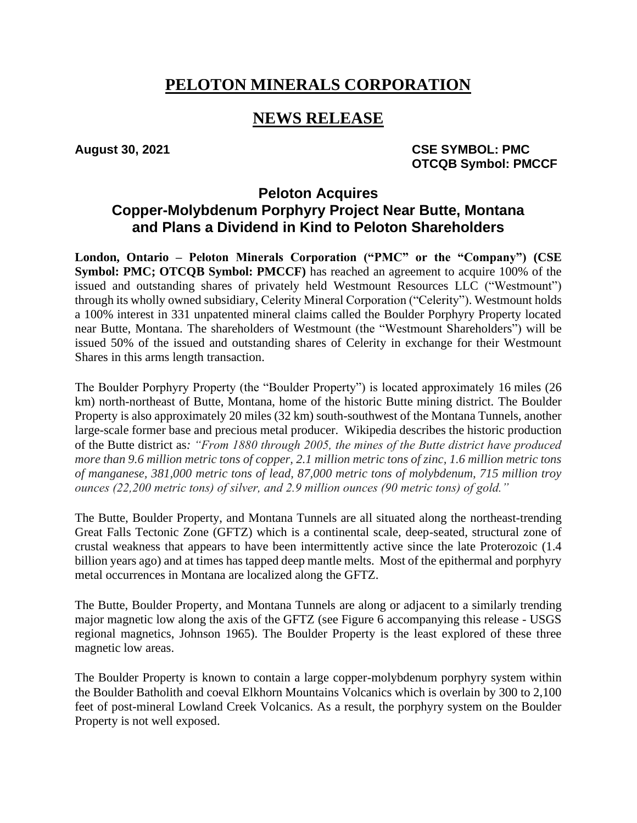# **PELOTON MINERALS CORPORATION**

## **NEWS RELEASE**

August 30, 2021 **CSE SYMBOL: PMC OTCQB Symbol: PMCCF**

### **Peloton Acquires Copper-Molybdenum Porphyry Project Near Butte, Montana and Plans a Dividend in Kind to Peloton Shareholders**

**London, Ontario – Peloton Minerals Corporation ("PMC" or the "Company") (CSE Symbol: PMC; OTCQB Symbol: PMCCF**) has reached an agreement to acquire 100% of the issued and outstanding shares of privately held Westmount Resources LLC ("Westmount") through its wholly owned subsidiary, Celerity Mineral Corporation ("Celerity"). Westmount holds a 100% interest in 331 unpatented mineral claims called the Boulder Porphyry Property located near Butte, Montana. The shareholders of Westmount (the "Westmount Shareholders") will be issued 50% of the issued and outstanding shares of Celerity in exchange for their Westmount Shares in this arms length transaction.

The Boulder Porphyry Property (the "Boulder Property") is located approximately 16 miles (26 km) north-northeast of Butte, Montana, home of the historic Butte mining district. The Boulder Property is also approximately 20 miles (32 km) south-southwest of the Montana Tunnels, another large-scale former base and precious metal producer. Wikipedia describes the historic production of the Butte district as*: "From 1880 through 2005, the mines of the Butte district have produced more than 9.6 million metric tons of copper, 2.1 million metric tons of zinc, 1.6 million metric tons of manganese, 381,000 metric tons of lead, 87,000 metric tons of molybdenum, 715 million troy ounces (22,200 metric tons) of silver, and 2.9 million ounces (90 metric tons) of gold."*

The Butte, Boulder Property, and Montana Tunnels are all situated along the northeast-trending Great Falls Tectonic Zone (GFTZ) which is a continental scale, deep-seated, structural zone of crustal weakness that appears to have been intermittently active since the late Proterozoic (1.4 billion years ago) and at times has tapped deep mantle melts. Most of the epithermal and porphyry metal occurrences in Montana are localized along the GFTZ.

The Butte, Boulder Property, and Montana Tunnels are along or adjacent to a similarly trending major magnetic low along the axis of the GFTZ (see Figure 6 accompanying this release - USGS regional magnetics, Johnson 1965). The Boulder Property is the least explored of these three magnetic low areas.

The Boulder Property is known to contain a large copper-molybdenum porphyry system within the Boulder Batholith and coeval Elkhorn Mountains Volcanics which is overlain by 300 to 2,100 feet of post-mineral Lowland Creek Volcanics. As a result, the porphyry system on the Boulder Property is not well exposed.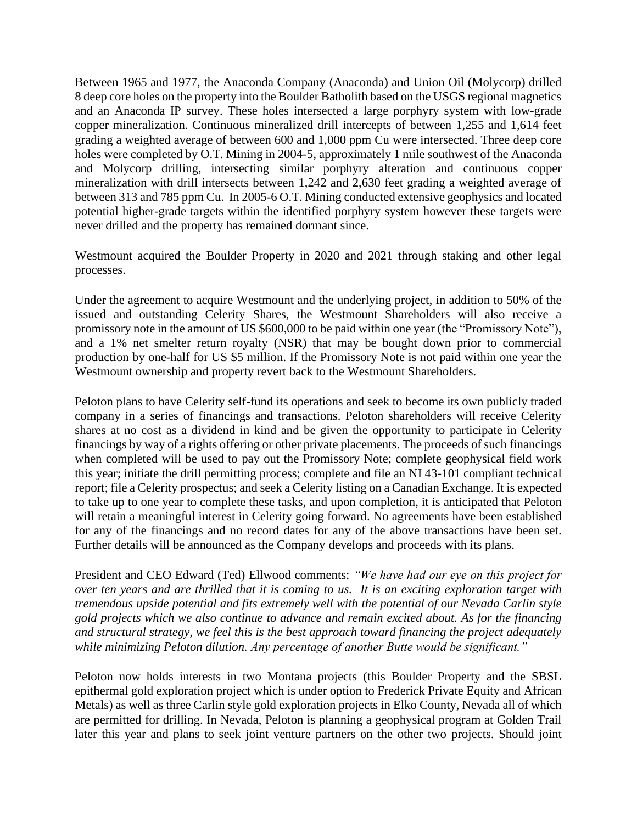Between 1965 and 1977, the Anaconda Company (Anaconda) and Union Oil (Molycorp) drilled 8 deep core holes on the property into the Boulder Batholith based on the USGS regional magnetics and an Anaconda IP survey. These holes intersected a large porphyry system with low-grade copper mineralization. Continuous mineralized drill intercepts of between 1,255 and 1,614 feet grading a weighted average of between 600 and 1,000 ppm Cu were intersected. Three deep core holes were completed by O.T. Mining in 2004-5, approximately 1 mile southwest of the Anaconda and Molycorp drilling, intersecting similar porphyry alteration and continuous copper mineralization with drill intersects between 1,242 and 2,630 feet grading a weighted average of between 313 and 785 ppm Cu. In 2005-6 O.T. Mining conducted extensive geophysics and located potential higher-grade targets within the identified porphyry system however these targets were never drilled and the property has remained dormant since.

Westmount acquired the Boulder Property in 2020 and 2021 through staking and other legal processes.

Under the agreement to acquire Westmount and the underlying project, in addition to 50% of the issued and outstanding Celerity Shares, the Westmount Shareholders will also receive a promissory note in the amount of US \$600,000 to be paid within one year (the "Promissory Note"), and a 1% net smelter return royalty (NSR) that may be bought down prior to commercial production by one-half for US \$5 million. If the Promissory Note is not paid within one year the Westmount ownership and property revert back to the Westmount Shareholders.

Peloton plans to have Celerity self-fund its operations and seek to become its own publicly traded company in a series of financings and transactions. Peloton shareholders will receive Celerity shares at no cost as a dividend in kind and be given the opportunity to participate in Celerity financings by way of a rights offering or other private placements. The proceeds of such financings when completed will be used to pay out the Promissory Note; complete geophysical field work this year; initiate the drill permitting process; complete and file an NI 43-101 compliant technical report; file a Celerity prospectus; and seek a Celerity listing on a Canadian Exchange. It is expected to take up to one year to complete these tasks, and upon completion, it is anticipated that Peloton will retain a meaningful interest in Celerity going forward. No agreements have been established for any of the financings and no record dates for any of the above transactions have been set. Further details will be announced as the Company develops and proceeds with its plans.

President and CEO Edward (Ted) Ellwood comments: *"We have had our eye on this project for over ten years and are thrilled that it is coming to us. It is an exciting exploration target with tremendous upside potential and fits extremely well with the potential of our Nevada Carlin style gold projects which we also continue to advance and remain excited about. As for the financing and structural strategy, we feel this is the best approach toward financing the project adequately while minimizing Peloton dilution. Any percentage of another Butte would be significant."*

Peloton now holds interests in two Montana projects (this Boulder Property and the SBSL epithermal gold exploration project which is under option to Frederick Private Equity and African Metals) as well as three Carlin style gold exploration projects in Elko County, Nevada all of which are permitted for drilling. In Nevada, Peloton is planning a geophysical program at Golden Trail later this year and plans to seek joint venture partners on the other two projects. Should joint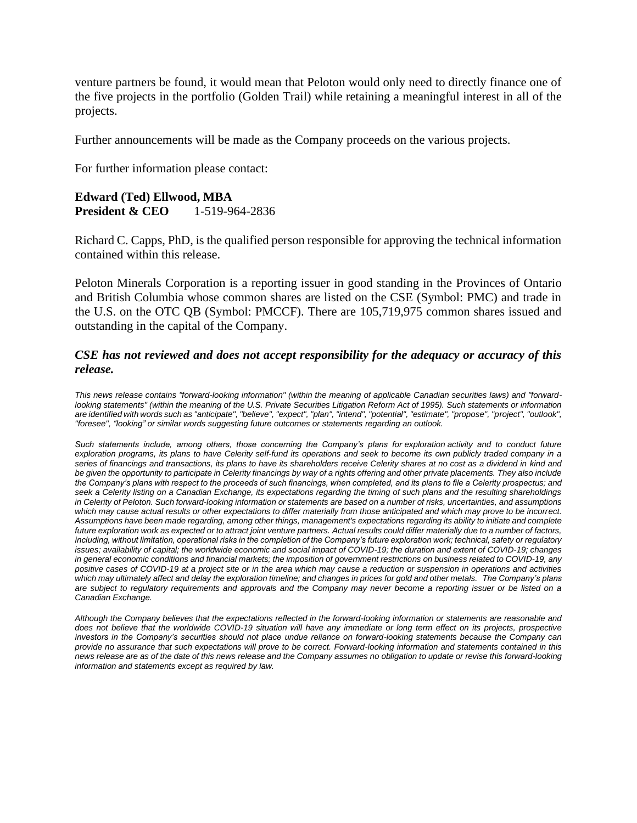venture partners be found, it would mean that Peloton would only need to directly finance one of the five projects in the portfolio (Golden Trail) while retaining a meaningful interest in all of the projects.

Further announcements will be made as the Company proceeds on the various projects.

For further information please contact:

#### **Edward (Ted) Ellwood, MBA President & CEO** 1-519-964-2836

Richard C. Capps, PhD, is the qualified person responsible for approving the technical information contained within this release.

Peloton Minerals Corporation is a reporting issuer in good standing in the Provinces of Ontario and British Columbia whose common shares are listed on the CSE (Symbol: PMC) and trade in the U.S. on the OTC QB (Symbol: PMCCF). There are 105,719,975 common shares issued and outstanding in the capital of the Company.

#### *CSE has not reviewed and does not accept responsibility for the adequacy or accuracy of this release.*

*This news release contains "forward-looking information" (within the meaning of applicable Canadian securities laws) and "forwardlooking statements" (within the meaning of the U.S. Private Securities Litigation Reform Act of 1995). Such statements or information are identified with words such as "anticipate", "believe", "expect", "plan", "intend", "potential", "estimate", "propose", "project", "outlook", "foresee", "looking" or similar words suggesting future outcomes or statements regarding an outlook.*

Such statements include, among others, those concerning the Company's plans for exploration activity and to conduct future *exploration programs, its plans to have Celerity self-fund its operations and seek to become its own publicly traded company in a series of financings and transactions, its plans to have its shareholders receive Celerity shares at no cost as a dividend in kind and be given the opportunity to participate in Celerity financings by way of a rights offering and other private placements. They also include the Company's plans with respect to the proceeds of such financings, when completed, and its plans to file a Celerity prospectus; and*  seek a Celerity listing on a Canadian Exchange, its expectations regarding the timing of such plans and the resulting shareholdings *in Celerity of Peloton. Such forward-looking information or statements are based on a number of risks, uncertainties, and assumptions which may cause actual results or other expectations to differ materially from those anticipated and which may prove to be incorrect. Assumptions have been made regarding, among other things, management's expectations regarding its ability to initiate and complete future exploration work as expected or to attract joint venture partners. Actual results could differ materially due to a number of factors, including, without limitation, operational risks in the completion of the Company's future exploration work; technical, safety or regulatory issues; availability of capital; the worldwide economic and social impact of COVID-19; the duration and extent of COVID-19; changes in general economic conditions and financial markets; the imposition of government restrictions on business related to COVID-19, any positive cases of COVID-19 at a project site or in the area which may cause a reduction or suspension in operations and activities which may ultimately affect and delay the exploration timeline; and changes in prices for gold and other metals. The Company's plans are subject to regulatory requirements and approvals and the Company may never become a reporting issuer or be listed on a Canadian Exchange.*

*Although the Company believes that the expectations reflected in the forward-looking information or statements are reasonable and*  does not believe that the worldwide COVID-19 situation will have any immediate or long term effect on its projects, prospective *investors in the Company's securities should not place undue reliance on forward-looking statements because the Company can provide no assurance that such expectations will prove to be correct. Forward-looking information and statements contained in this news release are as of the date of this news release and the Company assumes no obligation to update or revise this forward-looking information and statements except as required by law.*